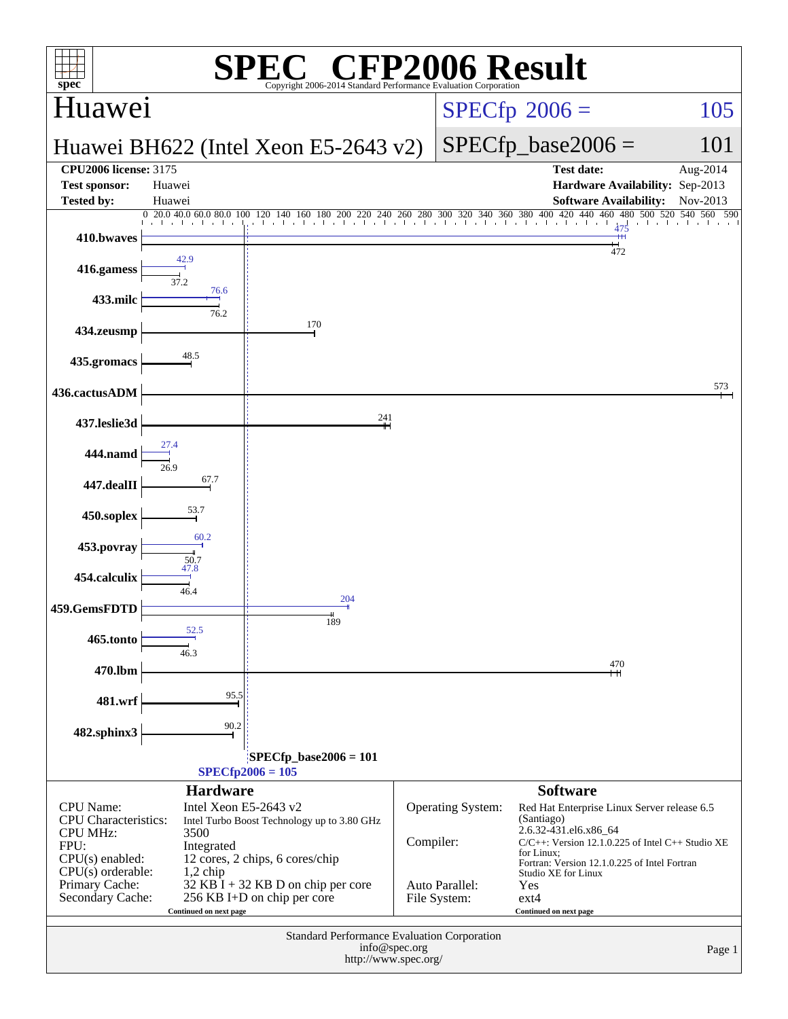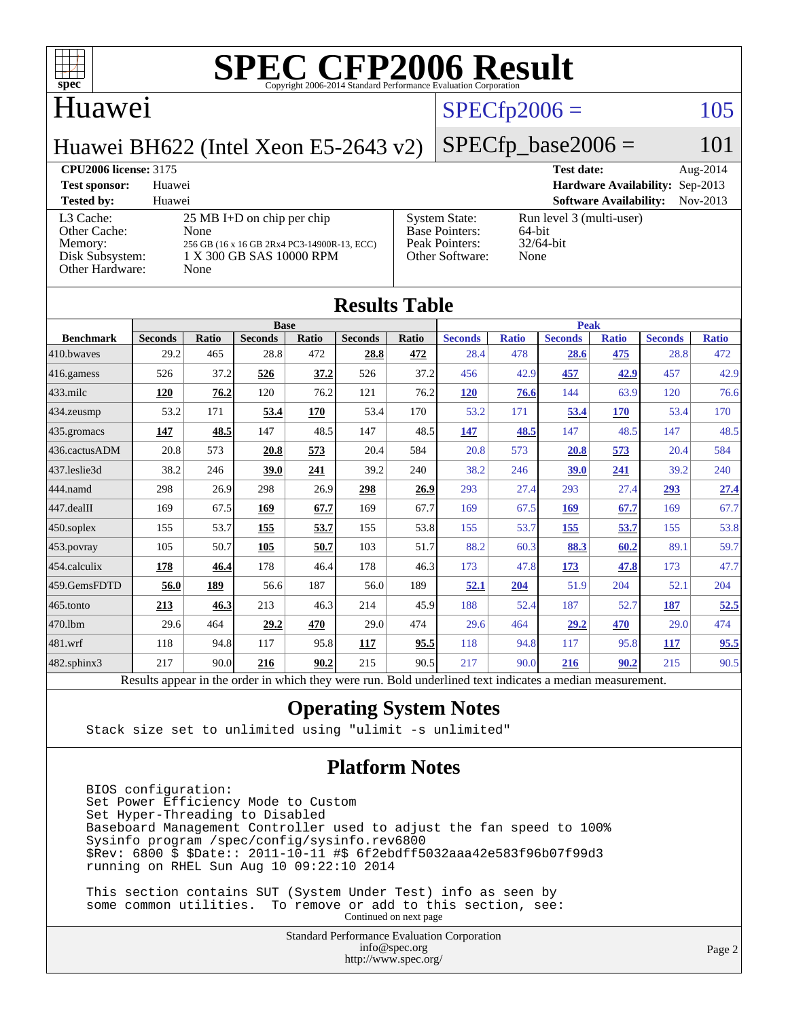

#### Huawei

## $SPECfp2006 = 105$  $SPECfp2006 = 105$

Huawei BH622 (Intel Xeon E5-2643 v2)

#### $SPECfp\_base2006 = 101$

**[CPU2006 license:](http://www.spec.org/auto/cpu2006/Docs/result-fields.html#CPU2006license)** 3175 **[Test date:](http://www.spec.org/auto/cpu2006/Docs/result-fields.html#Testdate)** Aug-2014 **[Test sponsor:](http://www.spec.org/auto/cpu2006/Docs/result-fields.html#Testsponsor)** Huawei **[Hardware Availability:](http://www.spec.org/auto/cpu2006/Docs/result-fields.html#HardwareAvailability)** Sep-2013 **[Tested by:](http://www.spec.org/auto/cpu2006/Docs/result-fields.html#Testedby)** Huawei **[Software Availability:](http://www.spec.org/auto/cpu2006/Docs/result-fields.html#SoftwareAvailability)** Nov-2013 [L3 Cache:](http://www.spec.org/auto/cpu2006/Docs/result-fields.html#L3Cache) 25 MB I+D on chip per chip<br>Other Cache: None [Other Cache:](http://www.spec.org/auto/cpu2006/Docs/result-fields.html#OtherCache) [Memory:](http://www.spec.org/auto/cpu2006/Docs/result-fields.html#Memory) 256 GB (16 x 16 GB 2Rx4 PC3-14900R-13, ECC) [Disk Subsystem:](http://www.spec.org/auto/cpu2006/Docs/result-fields.html#DiskSubsystem) 1 X 300 GB SAS 10000 RPM [Other Hardware:](http://www.spec.org/auto/cpu2006/Docs/result-fields.html#OtherHardware) None [System State:](http://www.spec.org/auto/cpu2006/Docs/result-fields.html#SystemState) Run level 3 (multi-user)<br>Base Pointers: 64-bit [Base Pointers:](http://www.spec.org/auto/cpu2006/Docs/result-fields.html#BasePointers) [Peak Pointers:](http://www.spec.org/auto/cpu2006/Docs/result-fields.html#PeakPointers) 32/64-bit [Other Software:](http://www.spec.org/auto/cpu2006/Docs/result-fields.html#OtherSoftware) None

| <b>Results Table</b>   |                                                                                                          |              |                |       |                |       |                |              |                |              |                |              |
|------------------------|----------------------------------------------------------------------------------------------------------|--------------|----------------|-------|----------------|-------|----------------|--------------|----------------|--------------|----------------|--------------|
|                        | <b>Base</b>                                                                                              |              |                |       |                |       | <b>Peak</b>    |              |                |              |                |              |
| <b>Benchmark</b>       | <b>Seconds</b>                                                                                           | <b>Ratio</b> | <b>Seconds</b> | Ratio | <b>Seconds</b> | Ratio | <b>Seconds</b> | <b>Ratio</b> | <b>Seconds</b> | <b>Ratio</b> | <b>Seconds</b> | <b>Ratio</b> |
| 410.bwayes             | 29.2                                                                                                     | 465          | 28.8           | 472   | 28.8           | 472   | 28.4           | 478          | 28.6           | 475          | 28.8           | 472          |
| 416.gamess             | 526                                                                                                      | 37.2         | 526            | 37.2  | 526            | 37.2  | 456            | 42.9         | 457            | 42.9         | 457            | 42.9         |
| $433$ .milc            | 120                                                                                                      | 76.2         | 120            | 76.2  | 121            | 76.2  | 120            | 76.6         | 144            | 63.9         | 120            | 76.6         |
| $434$ . zeusmp         | 53.2                                                                                                     | 171          | 53.4           | 170   | 53.4           | 170   | 53.2           | 171          | 53.4           | 170          | 53.4           | 170          |
| $435.$ gromacs         | 147                                                                                                      | 48.5         | 147            | 48.5  | 147            | 48.5  | 147            | 48.5         | 147            | 48.5         | 147            | 48.5         |
| 436.cactusADM          | 20.8                                                                                                     | 573          | 20.8           | 573   | 20.4           | 584   | 20.8           | 573          | 20.8           | 573          | 20.4           | 584          |
| 437.leslie3d           | 38.2                                                                                                     | 246          | 39.0           | 241   | 39.2           | 240   | 38.2           | 246          | 39.0           | 241          | 39.2           | 240          |
| 444.namd               | 298                                                                                                      | 26.9         | 298            | 26.9  | 298            | 26.9  | 293            | 27.4         | 293            | 27.4         | 293            | 27.4         |
| $ 447 \text{.}$ dealII | 169                                                                                                      | 67.5         | 169            | 67.7  | 169            | 67.7  | 169            | 67.5         | 169            | 67.7         | 169            | 67.7         |
| $450$ .soplex          | 155                                                                                                      | 53.7         | 155            | 53.7  | 155            | 53.8  | 155            | 53.7         | 155            | 53.7         | 155            | 53.8         |
| $453$ .povray          | 105                                                                                                      | 50.7         | 105            | 50.7  | 103            | 51.7  | 88.2           | 60.3         | 88.3           | 60.2         | 89.1           | 59.7         |
| $ 454$ .calculix       | 178                                                                                                      | 46.4         | 178            | 46.4  | 178            | 46.3  | 173            | 47.8         | <u>173</u>     | 47.8         | 173            | 47.7         |
| 459.GemsFDTD           | 56.0                                                                                                     | 189          | 56.6           | 187   | 56.0           | 189   | 52.1           | 204          | 51.9           | 204          | 52.1           | 204          |
| $465$ .tonto           | 213                                                                                                      | 46.3         | 213            | 46.3  | 214            | 45.9  | 188            | 52.4         | 187            | 52.7         | 187            | 52.5         |
| 470.1bm                | 29.6                                                                                                     | 464          | 29.2           | 470   | 29.0           | 474   | 29.6           | 464          | 29.2           | 470          | 29.0           | 474          |
| $481$ .wrf             | 118                                                                                                      | 94.8         | 117            | 95.8  | 117            | 95.5  | 118            | 94.8         | 117            | 95.8         | 117            | 95.5         |
| $482$ .sphinx $3$      | 217                                                                                                      | 90.0         | 216            | 90.2  | 215            | 90.5  | 217            | 90.0         | 216            | 90.2         | 215            | 90.5         |
|                        | Results appear in the order in which they were run. Bold underlined text indicates a median measurement. |              |                |       |                |       |                |              |                |              |                |              |

#### **[Operating System Notes](http://www.spec.org/auto/cpu2006/Docs/result-fields.html#OperatingSystemNotes)**

Stack size set to unlimited using "ulimit -s unlimited"

#### **[Platform Notes](http://www.spec.org/auto/cpu2006/Docs/result-fields.html#PlatformNotes)**

 BIOS configuration: Set Power Efficiency Mode to Custom Set Hyper-Threading to Disabled Baseboard Management Controller used to adjust the fan speed to 100% Sysinfo program /spec/config/sysinfo.rev6800 \$Rev: 6800 \$ \$Date:: 2011-10-11 #\$ 6f2ebdff5032aaa42e583f96b07f99d3 running on RHEL Sun Aug 10 09:22:10 2014

 This section contains SUT (System Under Test) info as seen by some common utilities. To remove or add to this section, see: Continued on next page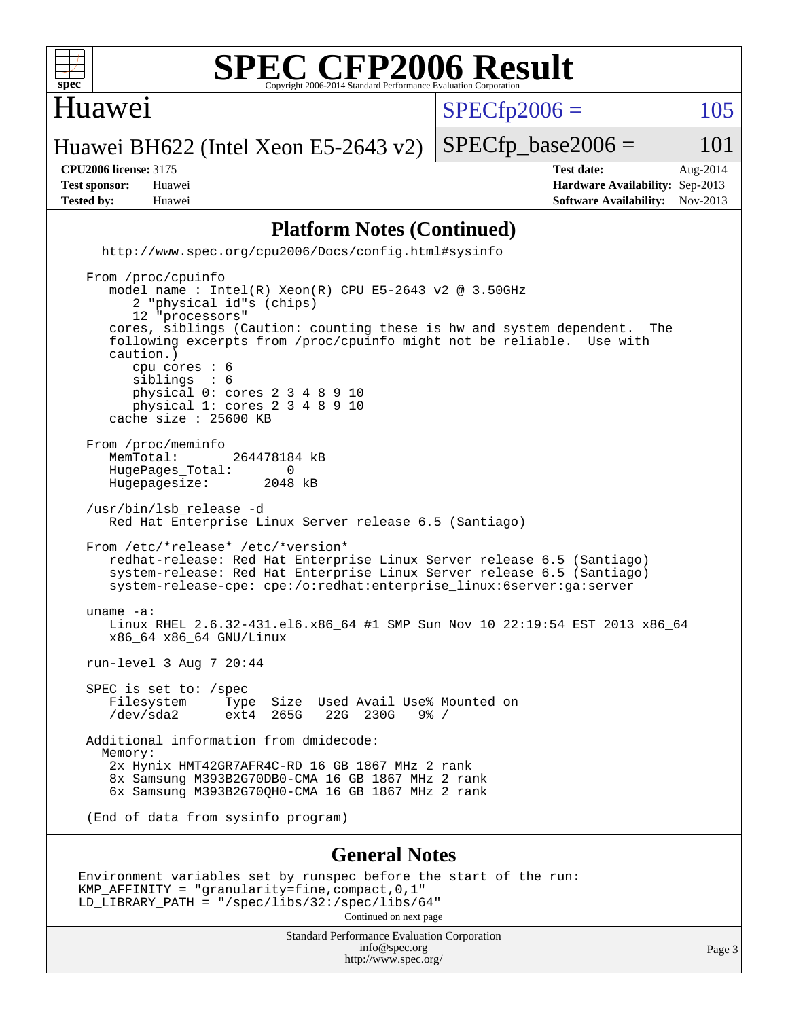

#### Huawei

 $SPECTp2006 = 105$ 

Huawei BH622 (Intel Xeon E5-2643 v2)  $SPECTp\_base2006 = 101$ 

**[Tested by:](http://www.spec.org/auto/cpu2006/Docs/result-fields.html#Testedby)** Huawei **[Software Availability:](http://www.spec.org/auto/cpu2006/Docs/result-fields.html#SoftwareAvailability)** Nov-2013

**[CPU2006 license:](http://www.spec.org/auto/cpu2006/Docs/result-fields.html#CPU2006license)** 3175 **[Test date:](http://www.spec.org/auto/cpu2006/Docs/result-fields.html#Testdate)** Aug-2014 **[Test sponsor:](http://www.spec.org/auto/cpu2006/Docs/result-fields.html#Testsponsor)** Huawei **[Hardware Availability:](http://www.spec.org/auto/cpu2006/Docs/result-fields.html#HardwareAvailability)** Sep-2013

#### **[Platform Notes \(Continued\)](http://www.spec.org/auto/cpu2006/Docs/result-fields.html#PlatformNotes)**

 <http://www.spec.org/cpu2006/Docs/config.html#sysinfo> From /proc/cpuinfo model name : Intel(R) Xeon(R) CPU E5-2643 v2 @ 3.50GHz 2 "physical id"s (chips) 12 "processors" cores, siblings (Caution: counting these is hw and system dependent. The following excerpts from /proc/cpuinfo might not be reliable. Use with

 caution.) cpu cores : 6<br>siblings : 6 siblings physical 0: cores 2 3 4 8 9 10 physical 1: cores 2 3 4 8 9 10 cache size : 25600 KB From /proc/meminfo<br>MemTotal: 264478184 kB HugePages\_Total: 0<br>Hugepagesize: 2048 kB Hugepagesize: /usr/bin/lsb\_release -d Red Hat Enterprise Linux Server release 6.5 (Santiago) From /etc/\*release\* /etc/\*version\* redhat-release: Red Hat Enterprise Linux Server release 6.5 (Santiago) system-release: Red Hat Enterprise Linux Server release 6.5 (Santiago) system-release-cpe: cpe:/o:redhat:enterprise\_linux:6server:ga:server uname -a: Linux RHEL 2.6.32-431.el6.x86\_64 #1 SMP Sun Nov 10 22:19:54 EST 2013 x86\_64 x86\_64 x86\_64 GNU/Linux

run-level 3 Aug 7 20:44

 SPEC is set to: /spec Filesystem Type Size Used-Avail-Use%-Mounted-on-<br>  $\sqrt{2}$  /dev/sda2 ext4 265G 22G 230G 9%-/ /dev/sda2 ext4 265G 22G 230G 9% /

 Additional information from dmidecode: Memory: 2x Hynix HMT42GR7AFR4C-RD 16 GB 1867 MHz 2 rank 8x Samsung M393B2G70DB0-CMA 16 GB 1867 MHz 2 rank 6x Samsung M393B2G70QH0-CMA 16 GB 1867 MHz 2 rank

(End of data from sysinfo program)

#### **[General Notes](http://www.spec.org/auto/cpu2006/Docs/result-fields.html#GeneralNotes)**

Environment variables set by runspec before the start of the run: KMP\_AFFINITY = "granularity=fine,compact,0,1" LD\_LIBRARY\_PATH = "/spec/libs/32:/spec/libs/64" Continued on next page

> Standard Performance Evaluation Corporation [info@spec.org](mailto:info@spec.org) <http://www.spec.org/>

Page 3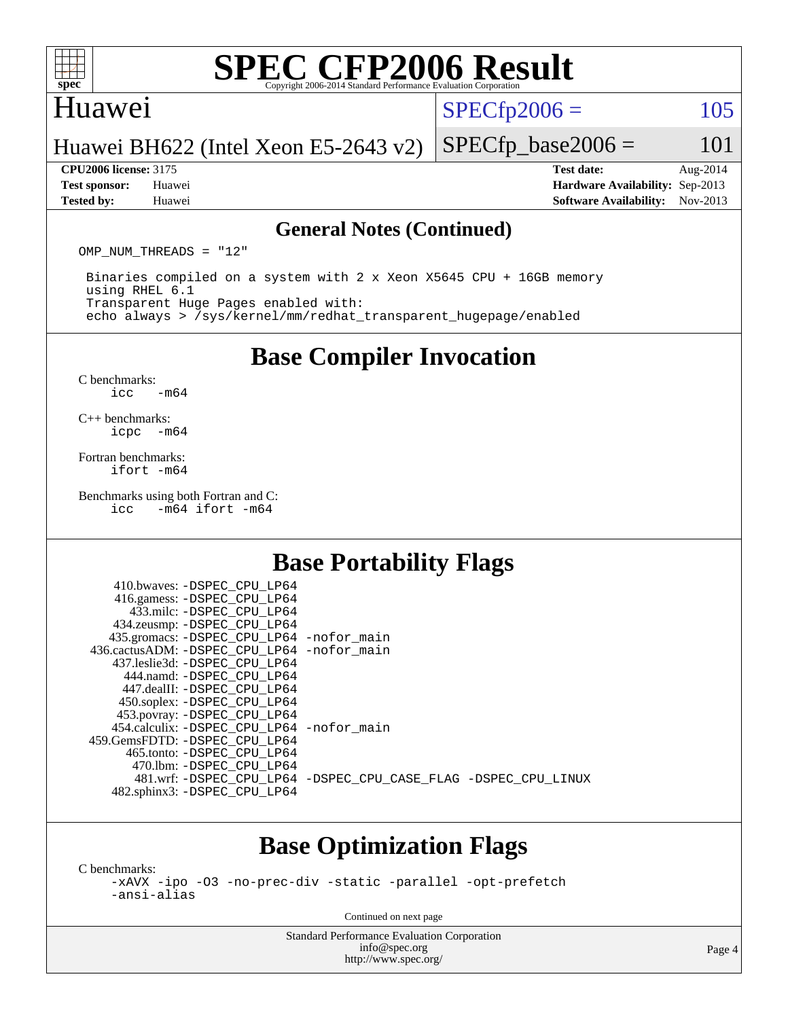

#### Huawei

 $SPECTp2006 = 105$ 

#### Huawei BH622 (Intel Xeon E5-2643 v2)

**[Tested by:](http://www.spec.org/auto/cpu2006/Docs/result-fields.html#Testedby)** Huawei **[Software Availability:](http://www.spec.org/auto/cpu2006/Docs/result-fields.html#SoftwareAvailability)** Nov-2013

**[CPU2006 license:](http://www.spec.org/auto/cpu2006/Docs/result-fields.html#CPU2006license)** 3175 **[Test date:](http://www.spec.org/auto/cpu2006/Docs/result-fields.html#Testdate)** Aug-2014 **[Test sponsor:](http://www.spec.org/auto/cpu2006/Docs/result-fields.html#Testsponsor)** Huawei **[Hardware Availability:](http://www.spec.org/auto/cpu2006/Docs/result-fields.html#HardwareAvailability)** Sep-2013

 $SPECTp\_base2006 = 101$ 

#### **[General Notes \(Continued\)](http://www.spec.org/auto/cpu2006/Docs/result-fields.html#GeneralNotes)**

OMP NUM THREADS = "12"

 Binaries compiled on a system with 2 x Xeon X5645 CPU + 16GB memory using RHEL 6.1 Transparent Huge Pages enabled with: echo always > /sys/kernel/mm/redhat\_transparent\_hugepage/enabled

**[Base Compiler Invocation](http://www.spec.org/auto/cpu2006/Docs/result-fields.html#BaseCompilerInvocation)**

[C benchmarks](http://www.spec.org/auto/cpu2006/Docs/result-fields.html#Cbenchmarks):  $\text{icc}$   $-\text{m64}$ 

[C++ benchmarks:](http://www.spec.org/auto/cpu2006/Docs/result-fields.html#CXXbenchmarks) [icpc -m64](http://www.spec.org/cpu2006/results/res2014q3/cpu2006-20140820-30973.flags.html#user_CXXbase_intel_icpc_64bit_bedb90c1146cab66620883ef4f41a67e)

[Fortran benchmarks](http://www.spec.org/auto/cpu2006/Docs/result-fields.html#Fortranbenchmarks): [ifort -m64](http://www.spec.org/cpu2006/results/res2014q3/cpu2006-20140820-30973.flags.html#user_FCbase_intel_ifort_64bit_ee9d0fb25645d0210d97eb0527dcc06e)

[Benchmarks using both Fortran and C](http://www.spec.org/auto/cpu2006/Docs/result-fields.html#BenchmarksusingbothFortranandC):<br>icc -m64 ifort -m64  $-m64$  ifort  $-m64$ 

### **[Base Portability Flags](http://www.spec.org/auto/cpu2006/Docs/result-fields.html#BasePortabilityFlags)**

| 410.bwaves: -DSPEC CPU LP64                  |                                                                |
|----------------------------------------------|----------------------------------------------------------------|
| 416.gamess: -DSPEC_CPU_LP64                  |                                                                |
| 433.milc: -DSPEC CPU LP64                    |                                                                |
| 434.zeusmp: - DSPEC_CPU_LP64                 |                                                                |
| 435.gromacs: -DSPEC_CPU_LP64 -nofor_main     |                                                                |
| 436.cactusADM: - DSPEC CPU LP64 - nofor main |                                                                |
| 437.leslie3d: -DSPEC CPU LP64                |                                                                |
| 444.namd: - DSPEC CPU LP64                   |                                                                |
| 447.dealII: -DSPEC CPU LP64                  |                                                                |
| 450.soplex: - DSPEC_CPU_LP64                 |                                                                |
| 453.povray: -DSPEC_CPU_LP64                  |                                                                |
| 454.calculix: - DSPEC CPU LP64 - nofor main  |                                                                |
| 459.GemsFDTD: -DSPEC CPU LP64                |                                                                |
| 465.tonto: - DSPEC CPU LP64                  |                                                                |
| 470.1bm: - DSPEC CPU LP64                    |                                                                |
|                                              | 481.wrf: -DSPEC CPU_LP64 -DSPEC_CPU_CASE_FLAG -DSPEC_CPU_LINUX |
| 482.sphinx3: -DSPEC_CPU_LP64                 |                                                                |
|                                              |                                                                |

### **[Base Optimization Flags](http://www.spec.org/auto/cpu2006/Docs/result-fields.html#BaseOptimizationFlags)**

[C benchmarks](http://www.spec.org/auto/cpu2006/Docs/result-fields.html#Cbenchmarks):

[-xAVX](http://www.spec.org/cpu2006/results/res2014q3/cpu2006-20140820-30973.flags.html#user_CCbase_f-xAVX) [-ipo](http://www.spec.org/cpu2006/results/res2014q3/cpu2006-20140820-30973.flags.html#user_CCbase_f-ipo) [-O3](http://www.spec.org/cpu2006/results/res2014q3/cpu2006-20140820-30973.flags.html#user_CCbase_f-O3) [-no-prec-div](http://www.spec.org/cpu2006/results/res2014q3/cpu2006-20140820-30973.flags.html#user_CCbase_f-no-prec-div) [-static](http://www.spec.org/cpu2006/results/res2014q3/cpu2006-20140820-30973.flags.html#user_CCbase_f-static) [-parallel](http://www.spec.org/cpu2006/results/res2014q3/cpu2006-20140820-30973.flags.html#user_CCbase_f-parallel) [-opt-prefetch](http://www.spec.org/cpu2006/results/res2014q3/cpu2006-20140820-30973.flags.html#user_CCbase_f-opt-prefetch) [-ansi-alias](http://www.spec.org/cpu2006/results/res2014q3/cpu2006-20140820-30973.flags.html#user_CCbase_f-ansi-alias)

Continued on next page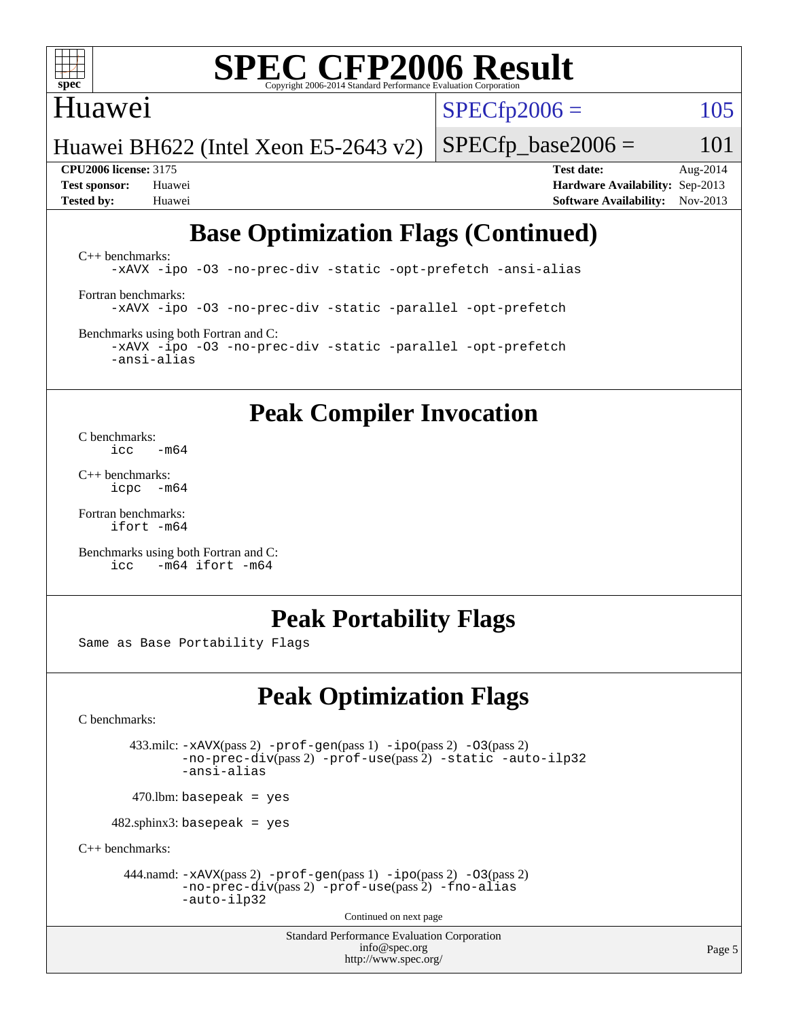

### Huawei

 $SPECTp2006 = 105$ 

Huawei BH622 (Intel Xeon E5-2643 v2)

**[Tested by:](http://www.spec.org/auto/cpu2006/Docs/result-fields.html#Testedby)** Huawei **[Software Availability:](http://www.spec.org/auto/cpu2006/Docs/result-fields.html#SoftwareAvailability)** Nov-2013

**[CPU2006 license:](http://www.spec.org/auto/cpu2006/Docs/result-fields.html#CPU2006license)** 3175 **[Test date:](http://www.spec.org/auto/cpu2006/Docs/result-fields.html#Testdate)** Aug-2014 **[Test sponsor:](http://www.spec.org/auto/cpu2006/Docs/result-fields.html#Testsponsor)** Huawei **[Hardware Availability:](http://www.spec.org/auto/cpu2006/Docs/result-fields.html#HardwareAvailability)** Sep-2013

 $SPECTp\_base2006 = 101$ 

## **[Base Optimization Flags \(Continued\)](http://www.spec.org/auto/cpu2006/Docs/result-fields.html#BaseOptimizationFlags)**

[C++ benchmarks:](http://www.spec.org/auto/cpu2006/Docs/result-fields.html#CXXbenchmarks) [-xAVX](http://www.spec.org/cpu2006/results/res2014q3/cpu2006-20140820-30973.flags.html#user_CXXbase_f-xAVX) [-ipo](http://www.spec.org/cpu2006/results/res2014q3/cpu2006-20140820-30973.flags.html#user_CXXbase_f-ipo) [-O3](http://www.spec.org/cpu2006/results/res2014q3/cpu2006-20140820-30973.flags.html#user_CXXbase_f-O3) [-no-prec-div](http://www.spec.org/cpu2006/results/res2014q3/cpu2006-20140820-30973.flags.html#user_CXXbase_f-no-prec-div) [-static](http://www.spec.org/cpu2006/results/res2014q3/cpu2006-20140820-30973.flags.html#user_CXXbase_f-static) [-opt-prefetch](http://www.spec.org/cpu2006/results/res2014q3/cpu2006-20140820-30973.flags.html#user_CXXbase_f-opt-prefetch) [-ansi-alias](http://www.spec.org/cpu2006/results/res2014q3/cpu2006-20140820-30973.flags.html#user_CXXbase_f-ansi-alias) [Fortran benchmarks](http://www.spec.org/auto/cpu2006/Docs/result-fields.html#Fortranbenchmarks): [-xAVX](http://www.spec.org/cpu2006/results/res2014q3/cpu2006-20140820-30973.flags.html#user_FCbase_f-xAVX) [-ipo](http://www.spec.org/cpu2006/results/res2014q3/cpu2006-20140820-30973.flags.html#user_FCbase_f-ipo) [-O3](http://www.spec.org/cpu2006/results/res2014q3/cpu2006-20140820-30973.flags.html#user_FCbase_f-O3) [-no-prec-div](http://www.spec.org/cpu2006/results/res2014q3/cpu2006-20140820-30973.flags.html#user_FCbase_f-no-prec-div) [-static](http://www.spec.org/cpu2006/results/res2014q3/cpu2006-20140820-30973.flags.html#user_FCbase_f-static) [-parallel](http://www.spec.org/cpu2006/results/res2014q3/cpu2006-20140820-30973.flags.html#user_FCbase_f-parallel) [-opt-prefetch](http://www.spec.org/cpu2006/results/res2014q3/cpu2006-20140820-30973.flags.html#user_FCbase_f-opt-prefetch) [Benchmarks using both Fortran and C](http://www.spec.org/auto/cpu2006/Docs/result-fields.html#BenchmarksusingbothFortranandC):

[-xAVX](http://www.spec.org/cpu2006/results/res2014q3/cpu2006-20140820-30973.flags.html#user_CC_FCbase_f-xAVX) [-ipo](http://www.spec.org/cpu2006/results/res2014q3/cpu2006-20140820-30973.flags.html#user_CC_FCbase_f-ipo) [-O3](http://www.spec.org/cpu2006/results/res2014q3/cpu2006-20140820-30973.flags.html#user_CC_FCbase_f-O3) [-no-prec-div](http://www.spec.org/cpu2006/results/res2014q3/cpu2006-20140820-30973.flags.html#user_CC_FCbase_f-no-prec-div) [-static](http://www.spec.org/cpu2006/results/res2014q3/cpu2006-20140820-30973.flags.html#user_CC_FCbase_f-static) [-parallel](http://www.spec.org/cpu2006/results/res2014q3/cpu2006-20140820-30973.flags.html#user_CC_FCbase_f-parallel) [-opt-prefetch](http://www.spec.org/cpu2006/results/res2014q3/cpu2006-20140820-30973.flags.html#user_CC_FCbase_f-opt-prefetch) [-ansi-alias](http://www.spec.org/cpu2006/results/res2014q3/cpu2006-20140820-30973.flags.html#user_CC_FCbase_f-ansi-alias)

## **[Peak Compiler Invocation](http://www.spec.org/auto/cpu2006/Docs/result-fields.html#PeakCompilerInvocation)**

[C benchmarks](http://www.spec.org/auto/cpu2006/Docs/result-fields.html#Cbenchmarks):  $\frac{1}{2}$ cc  $-\text{m64}$ 

[C++ benchmarks:](http://www.spec.org/auto/cpu2006/Docs/result-fields.html#CXXbenchmarks) [icpc -m64](http://www.spec.org/cpu2006/results/res2014q3/cpu2006-20140820-30973.flags.html#user_CXXpeak_intel_icpc_64bit_bedb90c1146cab66620883ef4f41a67e)

[Fortran benchmarks](http://www.spec.org/auto/cpu2006/Docs/result-fields.html#Fortranbenchmarks): [ifort -m64](http://www.spec.org/cpu2006/results/res2014q3/cpu2006-20140820-30973.flags.html#user_FCpeak_intel_ifort_64bit_ee9d0fb25645d0210d97eb0527dcc06e)

[Benchmarks using both Fortran and C](http://www.spec.org/auto/cpu2006/Docs/result-fields.html#BenchmarksusingbothFortranandC): [icc -m64](http://www.spec.org/cpu2006/results/res2014q3/cpu2006-20140820-30973.flags.html#user_CC_FCpeak_intel_icc_64bit_0b7121f5ab7cfabee23d88897260401c) [ifort -m64](http://www.spec.org/cpu2006/results/res2014q3/cpu2006-20140820-30973.flags.html#user_CC_FCpeak_intel_ifort_64bit_ee9d0fb25645d0210d97eb0527dcc06e)

## **[Peak Portability Flags](http://www.spec.org/auto/cpu2006/Docs/result-fields.html#PeakPortabilityFlags)**

Same as Base Portability Flags

## **[Peak Optimization Flags](http://www.spec.org/auto/cpu2006/Docs/result-fields.html#PeakOptimizationFlags)**

[C benchmarks](http://www.spec.org/auto/cpu2006/Docs/result-fields.html#Cbenchmarks):

 433.milc: [-xAVX](http://www.spec.org/cpu2006/results/res2014q3/cpu2006-20140820-30973.flags.html#user_peakPASS2_CFLAGSPASS2_LDFLAGS433_milc_f-xAVX)(pass 2) [-prof-gen](http://www.spec.org/cpu2006/results/res2014q3/cpu2006-20140820-30973.flags.html#user_peakPASS1_CFLAGSPASS1_LDFLAGS433_milc_prof_gen_e43856698f6ca7b7e442dfd80e94a8fc)(pass 1) [-ipo](http://www.spec.org/cpu2006/results/res2014q3/cpu2006-20140820-30973.flags.html#user_peakPASS2_CFLAGSPASS2_LDFLAGS433_milc_f-ipo)(pass 2) [-O3](http://www.spec.org/cpu2006/results/res2014q3/cpu2006-20140820-30973.flags.html#user_peakPASS2_CFLAGSPASS2_LDFLAGS433_milc_f-O3)(pass 2) [-no-prec-div](http://www.spec.org/cpu2006/results/res2014q3/cpu2006-20140820-30973.flags.html#user_peakPASS2_CFLAGSPASS2_LDFLAGS433_milc_f-no-prec-div)(pass 2) [-prof-use](http://www.spec.org/cpu2006/results/res2014q3/cpu2006-20140820-30973.flags.html#user_peakPASS2_CFLAGSPASS2_LDFLAGS433_milc_prof_use_bccf7792157ff70d64e32fe3e1250b55)(pass 2) [-static](http://www.spec.org/cpu2006/results/res2014q3/cpu2006-20140820-30973.flags.html#user_peakOPTIMIZE433_milc_f-static) [-auto-ilp32](http://www.spec.org/cpu2006/results/res2014q3/cpu2006-20140820-30973.flags.html#user_peakCOPTIMIZE433_milc_f-auto-ilp32) [-ansi-alias](http://www.spec.org/cpu2006/results/res2014q3/cpu2006-20140820-30973.flags.html#user_peakCOPTIMIZE433_milc_f-ansi-alias)

 $470.$ lbm: basepeak = yes

482.sphinx3: basepeak = yes

[C++ benchmarks:](http://www.spec.org/auto/cpu2006/Docs/result-fields.html#CXXbenchmarks)

444.namd:  $-xAVX(pass 2)$  $-xAVX(pass 2)$  [-prof-gen](http://www.spec.org/cpu2006/results/res2014q3/cpu2006-20140820-30973.flags.html#user_peakPASS1_CXXFLAGSPASS1_LDFLAGS444_namd_prof_gen_e43856698f6ca7b7e442dfd80e94a8fc)(pass 1) [-ipo](http://www.spec.org/cpu2006/results/res2014q3/cpu2006-20140820-30973.flags.html#user_peakPASS2_CXXFLAGSPASS2_LDFLAGS444_namd_f-ipo)(pass 2) [-O3](http://www.spec.org/cpu2006/results/res2014q3/cpu2006-20140820-30973.flags.html#user_peakPASS2_CXXFLAGSPASS2_LDFLAGS444_namd_f-O3)(pass 2) [-no-prec-div](http://www.spec.org/cpu2006/results/res2014q3/cpu2006-20140820-30973.flags.html#user_peakPASS2_CXXFLAGSPASS2_LDFLAGS444_namd_f-no-prec-div)(pass 2) [-prof-use](http://www.spec.org/cpu2006/results/res2014q3/cpu2006-20140820-30973.flags.html#user_peakPASS2_CXXFLAGSPASS2_LDFLAGS444_namd_prof_use_bccf7792157ff70d64e32fe3e1250b55)(pass 2) [-fno-alias](http://www.spec.org/cpu2006/results/res2014q3/cpu2006-20140820-30973.flags.html#user_peakCXXOPTIMIZEOPTIMIZE444_namd_f-no-alias_694e77f6c5a51e658e82ccff53a9e63a) [-auto-ilp32](http://www.spec.org/cpu2006/results/res2014q3/cpu2006-20140820-30973.flags.html#user_peakCXXOPTIMIZE444_namd_f-auto-ilp32)

Continued on next page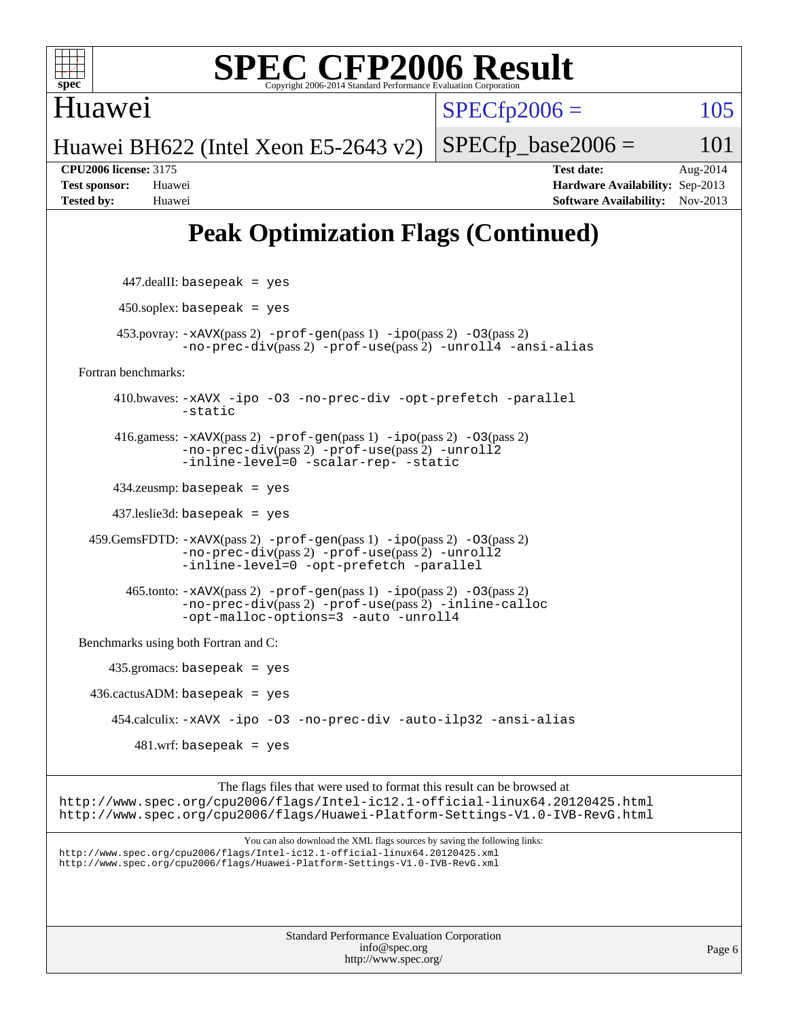

Huawei

 $SPECfp2006 = 105$  $SPECfp2006 = 105$ 

Huawei BH622 (Intel Xeon E5-2643 v2)  $SPECfp\_base2006 = 101$ 

**[CPU2006 license:](http://www.spec.org/auto/cpu2006/Docs/result-fields.html#CPU2006license)** 3175 **[Test date:](http://www.spec.org/auto/cpu2006/Docs/result-fields.html#Testdate)** Aug-2014 **[Test sponsor:](http://www.spec.org/auto/cpu2006/Docs/result-fields.html#Testsponsor)** Huawei **[Hardware Availability:](http://www.spec.org/auto/cpu2006/Docs/result-fields.html#HardwareAvailability)** Sep-2013 **[Tested by:](http://www.spec.org/auto/cpu2006/Docs/result-fields.html#Testedby)** Huawei **[Software Availability:](http://www.spec.org/auto/cpu2006/Docs/result-fields.html#SoftwareAvailability)** Nov-2013

# **[Peak Optimization Flags \(Continued\)](http://www.spec.org/auto/cpu2006/Docs/result-fields.html#PeakOptimizationFlags)**

| $447$ .dealII: basepeak = yes                                                                                                                                                                                                              |        |
|--------------------------------------------------------------------------------------------------------------------------------------------------------------------------------------------------------------------------------------------|--------|
| $450$ .soplex: basepeak = yes                                                                                                                                                                                                              |        |
| $453.$ povray: $-xAVX(pass 2)$ -prof-gen(pass 1) -ipo(pass 2) -03(pass 2)<br>$-no\text{-prec-div}(pass 2)$ -prof-use(pass 2) -unroll4 -ansi-alias                                                                                          |        |
| Fortran benchmarks:                                                                                                                                                                                                                        |        |
| 410.bwaves: -xAVX -ipo -03 -no-prec-div -opt-prefetch -parallel<br>-static                                                                                                                                                                 |        |
| 416.gamess: $-x$ AVX(pass 2) $-prof-gen(pass 1) -ipo(pass 2) -O3(pass 2)$<br>-no-prec-div(pass 2) -prof-use(pass 2) -unroll2<br>-inline-level=0 -scalar-rep- -static                                                                       |        |
| $434$ .zeusmp: basepeak = yes                                                                                                                                                                                                              |        |
| $437$ .leslie3d: basepeak = yes                                                                                                                                                                                                            |        |
| 459. GemsFDTD: $-x$ AVX(pass 2) $-pref-gen(pass 1) -ipo(pass 2) -03(pass 2)$<br>-no-prec-div(pass 2) -prof-use(pass 2) -unroll2<br>-inline-level=0 -opt-prefetch -parallel                                                                 |        |
| $465$ .tonto: $-xAVX(pass 2)$ -prof-gen(pass 1) -ipo(pass 2) -03(pass 2)<br>-no-prec-div(pass 2) -prof-use(pass 2) -inline-calloc<br>-opt-malloc-options=3 -auto -unroll4                                                                  |        |
| Benchmarks using both Fortran and C:                                                                                                                                                                                                       |        |
| $435$ .gromacs: basepeak = yes                                                                                                                                                                                                             |        |
| $436.cactusADM: basepeak = yes$                                                                                                                                                                                                            |        |
| 454.calculix: -xAVX -ipo -03 -no-prec-div -auto-ilp32 -ansi-alias                                                                                                                                                                          |        |
| $481.wrf$ : basepeak = yes                                                                                                                                                                                                                 |        |
| The flags files that were used to format this result can be browsed at<br>http://www.spec.org/cpu2006/flags/Intel-ic12.1-official-linux64.20120425.html<br>http://www.spec.org/cpu2006/flags/Huawei-Platform-Settings-V1.0-IVB-RevG.html   |        |
| You can also download the XML flags sources by saving the following links:<br>http://www.spec.org/cpu2006/flags/Intel-ic12.1-official-linux64.20120425.xml<br>http://www.spec.org/cpu2006/flags/Huawei-Platform-Settings-V1.0-IVB-RevG.xml |        |
| <b>Standard Performance Evaluation Corporation</b><br>info@spec.org<br>http://www.spec.org/                                                                                                                                                | Page 6 |